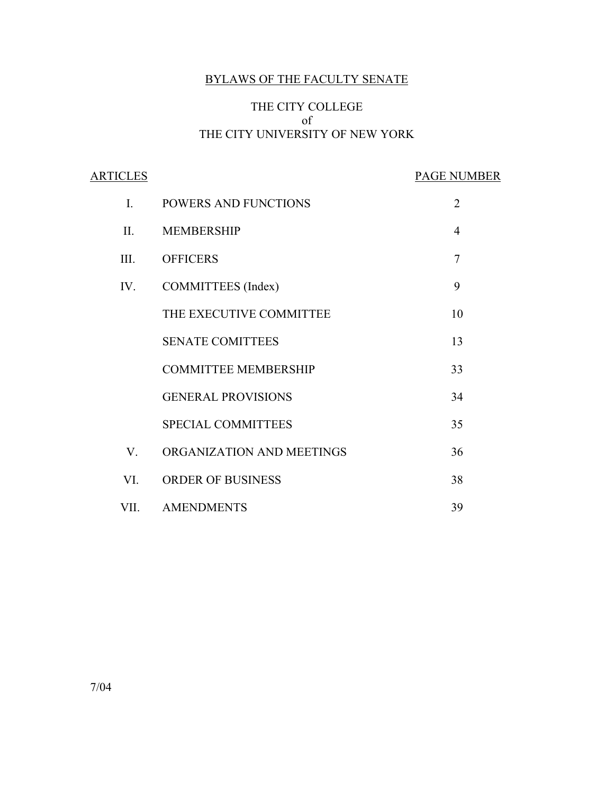# BYLAWS OF THE FACULTY SENATE

# THE CITY COLLEGE of THE CITY UNIVERSITY OF NEW YORK

ARTICLES PAGE NUMBER I. POWERS AND FUNCTIONS 2 II. MEMBERSHIP 4 III. OFFICERS 7 IV. COMMITTEES (Index) 9 THE EXECUTIVE COMMITTEE 10 SENATE COMITTEES 13 COMMITTEE MEMBERSHIP 33 GENERAL PROVISIONS 34 SPECIAL COMMITTEES 35 V. ORGANIZATION AND MEETINGS 36 VI. ORDER OF BUSINESS 38 VII. AMENDMENTS 39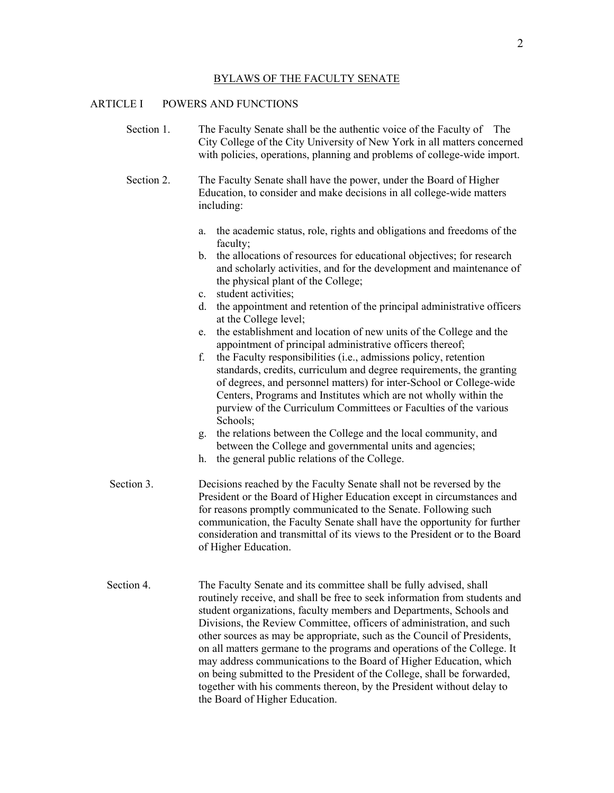#### BYLAWS OF THE FACULTY SENATE

## ARTICLE I POWERS AND FUNCTIONS

Section 1. The Faculty Senate shall be the authentic voice of the Faculty of The City College of the City University of New York in all matters concerned with policies, operations, planning and problems of college-wide import.

Section 2. The Faculty Senate shall have the power, under the Board of Higher Education, to consider and make decisions in all college-wide matters including:

- a. the academic status, role, rights and obligations and freedoms of the faculty;
- b. the allocations of resources for educational objectives; for research and scholarly activities, and for the development and maintenance of the physical plant of the College;
- c. student activities;
- d. the appointment and retention of the principal administrative officers at the College level;
- e. the establishment and location of new units of the College and the appointment of principal administrative officers thereof;
- f. the Faculty responsibilities (i.e., admissions policy, retention standards, credits, curriculum and degree requirements, the granting of degrees, and personnel matters) for inter-School or College-wide Centers, Programs and Institutes which are not wholly within the purview of the Curriculum Committees or Faculties of the various Schools;
- g. the relations between the College and the local community, and between the College and governmental units and agencies;
- h. the general public relations of the College.
- Section 3. Decisions reached by the Faculty Senate shall not be reversed by the President or the Board of Higher Education except in circumstances and for reasons promptly communicated to the Senate. Following such communication, the Faculty Senate shall have the opportunity for further consideration and transmittal of its views to the President or to the Board of Higher Education.
- Section 4. The Faculty Senate and its committee shall be fully advised, shall routinely receive, and shall be free to seek information from students and student organizations, faculty members and Departments, Schools and Divisions, the Review Committee, officers of administration, and such other sources as may be appropriate, such as the Council of Presidents, on all matters germane to the programs and operations of the College. It may address communications to the Board of Higher Education, which on being submitted to the President of the College, shall be forwarded, together with his comments thereon, by the President without delay to the Board of Higher Education.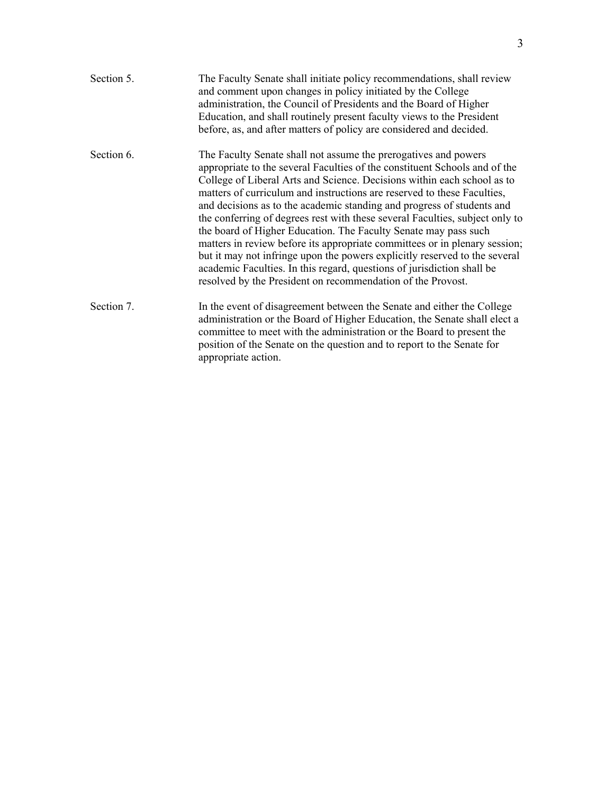| Section 5. | The Faculty Senate shall initiate policy recommendations, shall review<br>and comment upon changes in policy initiated by the College<br>administration, the Council of Presidents and the Board of Higher<br>Education, and shall routinely present faculty views to the President<br>before, as, and after matters of policy are considered and decided.                                                                                                                                                                                                                                                                                                                                                                                                                                                                            |
|------------|---------------------------------------------------------------------------------------------------------------------------------------------------------------------------------------------------------------------------------------------------------------------------------------------------------------------------------------------------------------------------------------------------------------------------------------------------------------------------------------------------------------------------------------------------------------------------------------------------------------------------------------------------------------------------------------------------------------------------------------------------------------------------------------------------------------------------------------|
| Section 6. | The Faculty Senate shall not assume the prerogatives and powers<br>appropriate to the several Faculties of the constituent Schools and of the<br>College of Liberal Arts and Science. Decisions within each school as to<br>matters of curriculum and instructions are reserved to these Faculties,<br>and decisions as to the academic standing and progress of students and<br>the conferring of degrees rest with these several Faculties, subject only to<br>the board of Higher Education. The Faculty Senate may pass such<br>matters in review before its appropriate committees or in plenary session;<br>but it may not infringe upon the powers explicitly reserved to the several<br>academic Faculties. In this regard, questions of jurisdiction shall be<br>resolved by the President on recommendation of the Provost. |
| Section 7. | In the event of disagreement between the Senate and either the College<br>administration or the Board of Higher Education, the Senate shall elect a<br>committee to meet with the administration or the Board to present the<br>position of the Senate on the question and to report to the Senate for<br>appropriate action.                                                                                                                                                                                                                                                                                                                                                                                                                                                                                                         |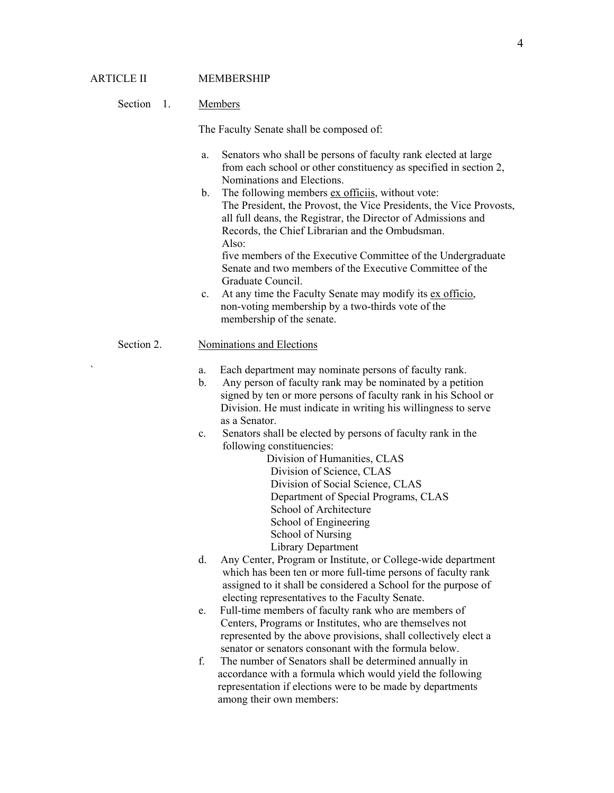### Section 1. Members

The Faculty Senate shall be composed of:

- a. Senators who shall be persons of faculty rank elected at large from each school or other constituency as specified in section 2, Nominations and Elections.
- b. The following members ex officiis, without vote: The President, the Provost, the Vice Presidents, the Vice Provosts, all full deans, the Registrar, the Director of Admissions and Records, the Chief Librarian and the Ombudsman. Also: five members of the Executive Committee of the Undergraduate
	- Senate and two members of the Executive Committee of the Graduate Council.
- c. At any time the Faculty Senate may modify its ex officio, non-voting membership by a two-thirds vote of the membership of the senate.

# Section 2. Nominations and Elections

- a. Each department may nominate persons of faculty rank.
- b. Any person of faculty rank may be nominated by a petition signed by ten or more persons of faculty rank in his School or Division. He must indicate in writing his willingness to serve as a Senator.
- c. Senators shall be elected by persons of faculty rank in the following constituencies:
	- Division of Humanities, CLAS Division of Science, CLAS Division of Social Science, CLAS Department of Special Programs, CLAS School of Architecture School of Engineering School of Nursing Library Department
- d. Any Center, Program or Institute, or College-wide department which has been ten or more full-time persons of faculty rank assigned to it shall be considered a School for the purpose of electing representatives to the Faculty Senate.
- e. Full-time members of faculty rank who are members of Centers, Programs or Institutes, who are themselves not represented by the above provisions, shall collectively elect a senator or senators consonant with the formula below.
- f. The number of Senators shall be determined annually in accordance with a formula which would yield the following representation if elections were to be made by departments among their own members: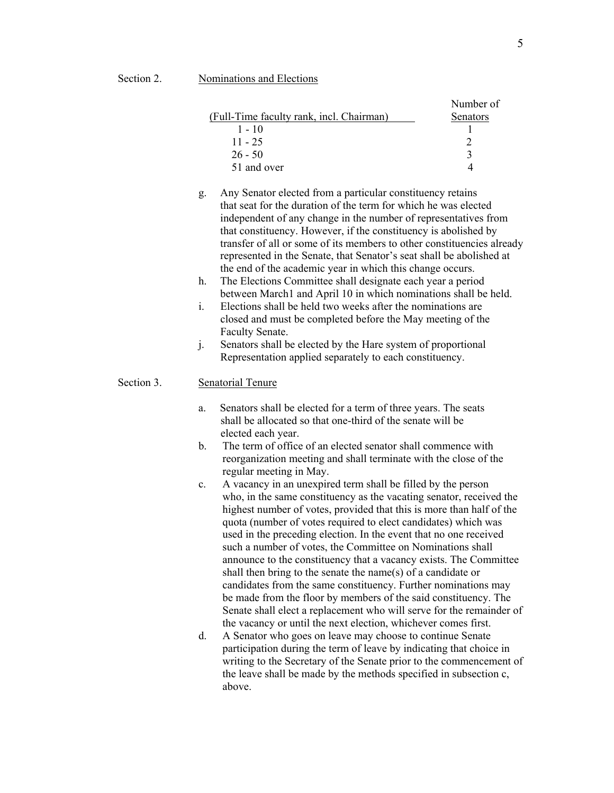|                                          | Number of |
|------------------------------------------|-----------|
| (Full-Time faculty rank, incl. Chairman) | Senators  |
| $1 - 10$                                 |           |
| $11 - 25$                                |           |
| $26 - 50$                                |           |
| 51 and over                              |           |

- g. Any Senator elected from a particular constituency retains that seat for the duration of the term for which he was elected independent of any change in the number of representatives from that constituency. However, if the constituency is abolished by transfer of all or some of its members to other constituencies already represented in the Senate, that Senator's seat shall be abolished at the end of the academic year in which this change occurs.
- h. The Elections Committee shall designate each year a period between March1 and April 10 in which nominations shall be held.
- i. Elections shall be held two weeks after the nominations are closed and must be completed before the May meeting of the Faculty Senate.
- j. Senators shall be elected by the Hare system of proportional Representation applied separately to each constituency.

#### Section 3. Senatorial Tenure

- a. Senators shall be elected for a term of three years. The seats shall be allocated so that one-third of the senate will be elected each year.
- b. The term of office of an elected senator shall commence with reorganization meeting and shall terminate with the close of the regular meeting in May.
- c. A vacancy in an unexpired term shall be filled by the person who, in the same constituency as the vacating senator, received the highest number of votes, provided that this is more than half of the quota (number of votes required to elect candidates) which was used in the preceding election. In the event that no one received such a number of votes, the Committee on Nominations shall announce to the constituency that a vacancy exists. The Committee shall then bring to the senate the name(s) of a candidate or candidates from the same constituency. Further nominations may be made from the floor by members of the said constituency. The Senate shall elect a replacement who will serve for the remainder of the vacancy or until the next election, whichever comes first.
- d. A Senator who goes on leave may choose to continue Senate participation during the term of leave by indicating that choice in writing to the Secretary of the Senate prior to the commencement of the leave shall be made by the methods specified in subsection c, above.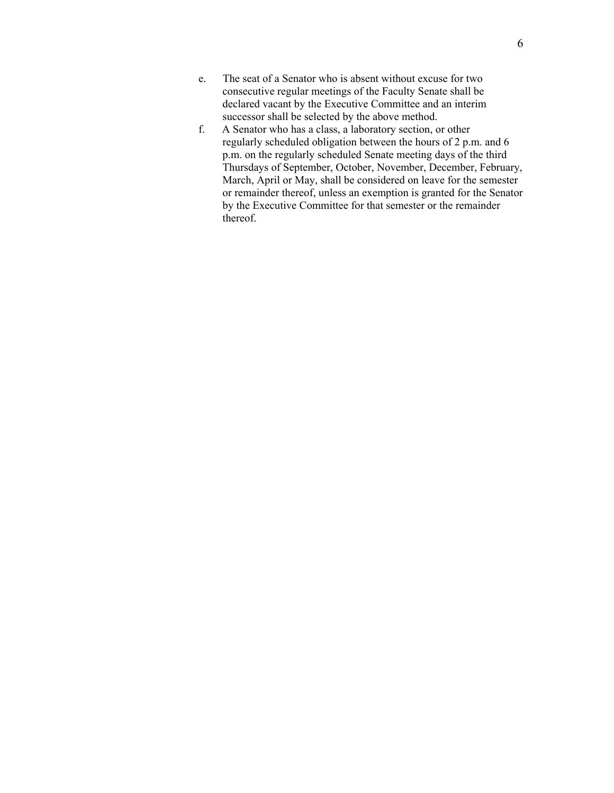- e. The seat of a Senator who is absent without excuse for two consecutive regular meetings of the Faculty Senate shall be declared vacant by the Executive Committee and an interim successor shall be selected by the above method.
- f. A Senator who has a class, a laboratory section, or other regularly scheduled obligation between the hours of 2 p.m. and 6 p.m. on the regularly scheduled Senate meeting days of the third Thursdays of September, October, November, December, February, March, April or May, shall be considered on leave for the semester or remainder thereof, unless an exemption is granted for the Senator by the Executive Committee for that semester or the remainder thereof.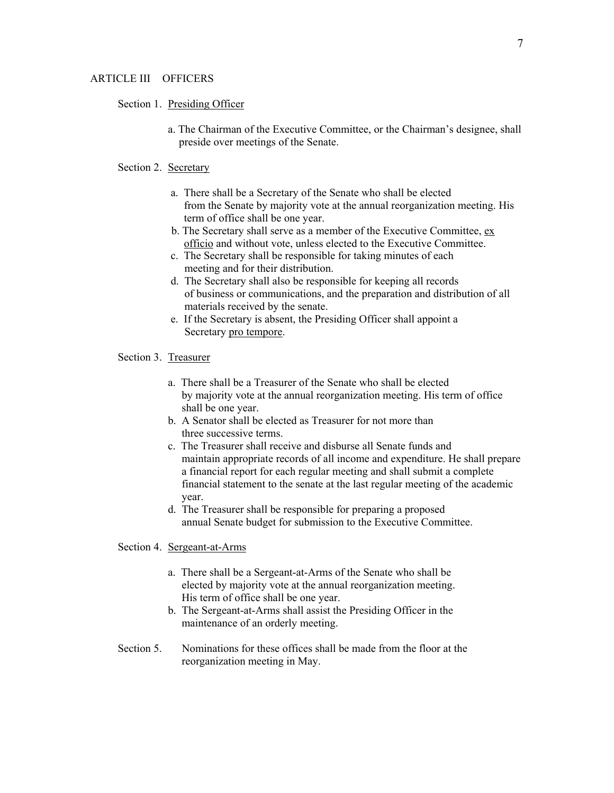#### Section 1. Presiding Officer

 a. The Chairman of the Executive Committee, or the Chairman's designee, shall preside over meetings of the Senate.

#### Section 2. Secretary

- a. There shall be a Secretary of the Senate who shall be elected from the Senate by majority vote at the annual reorganization meeting. His term of office shall be one year.
- b. The Secretary shall serve as a member of the Executive Committee, ex officio and without vote, unless elected to the Executive Committee.
- c. The Secretary shall be responsible for taking minutes of each meeting and for their distribution.
- d. The Secretary shall also be responsible for keeping all records of business or communications, and the preparation and distribution of all materials received by the senate.
- e. If the Secretary is absent, the Presiding Officer shall appoint a Secretary pro tempore.

#### Section 3. Treasurer

- a. There shall be a Treasurer of the Senate who shall be elected by majority vote at the annual reorganization meeting. His term of office shall be one year.
- b. A Senator shall be elected as Treasurer for not more than three successive terms.
- c. The Treasurer shall receive and disburse all Senate funds and maintain appropriate records of all income and expenditure. He shall prepare a financial report for each regular meeting and shall submit a complete financial statement to the senate at the last regular meeting of the academic year.
- d. The Treasurer shall be responsible for preparing a proposed annual Senate budget for submission to the Executive Committee.

#### Section 4. Sergeant-at-Arms

- a. There shall be a Sergeant-at-Arms of the Senate who shall be elected by majority vote at the annual reorganization meeting. His term of office shall be one year.
- b. The Sergeant-at-Arms shall assist the Presiding Officer in the maintenance of an orderly meeting.
- Section 5. Nominations for these offices shall be made from the floor at the reorganization meeting in May.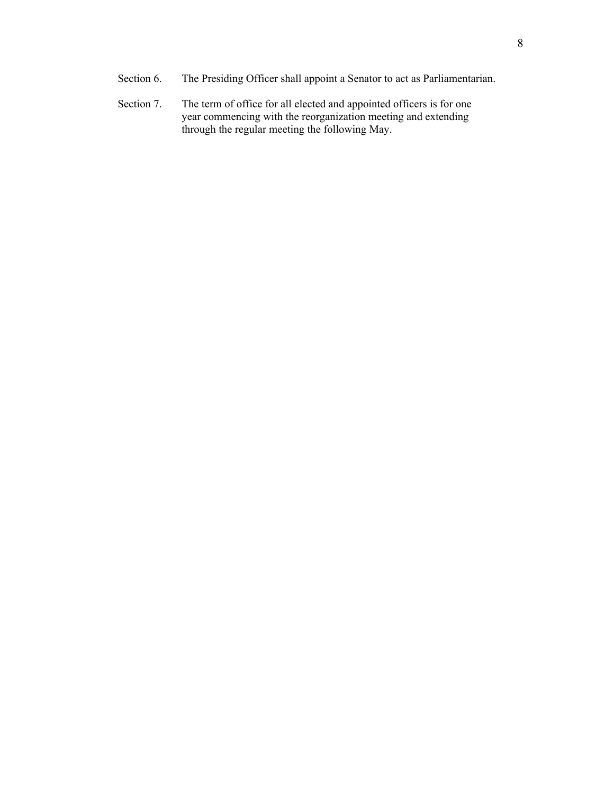- Section 6. The Presiding Officer shall appoint a Senator to act as Parliamentarian.
- Section 7. The term of office for all elected and appointed officers is for one year commencing with the reorganization meeting and extending through the regular meeting the following May.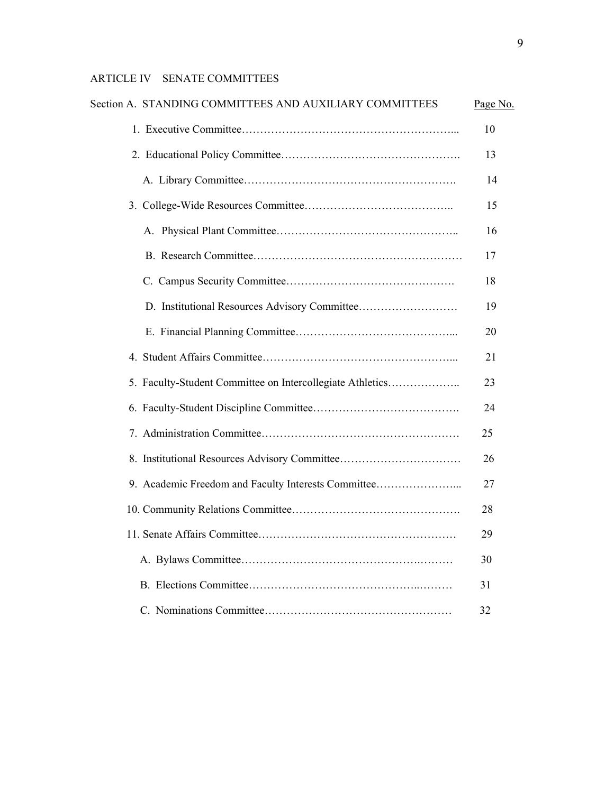| Section A. STANDING COMMITTEES AND AUXILIARY COMMITTEES   | Page No. |
|-----------------------------------------------------------|----------|
|                                                           | 10       |
|                                                           | 13       |
|                                                           | 14       |
|                                                           | 15       |
|                                                           | 16       |
|                                                           | 17       |
|                                                           | 18       |
|                                                           | 19       |
|                                                           | 20       |
|                                                           | 21       |
| 5. Faculty-Student Committee on Intercollegiate Athletics | 23       |
|                                                           | 24       |
|                                                           | 25       |
|                                                           | 26       |
| 9. Academic Freedom and Faculty Interests Committee       | 27       |
|                                                           | 28       |
|                                                           |          |
|                                                           | 30       |
|                                                           | 31       |
|                                                           | 32       |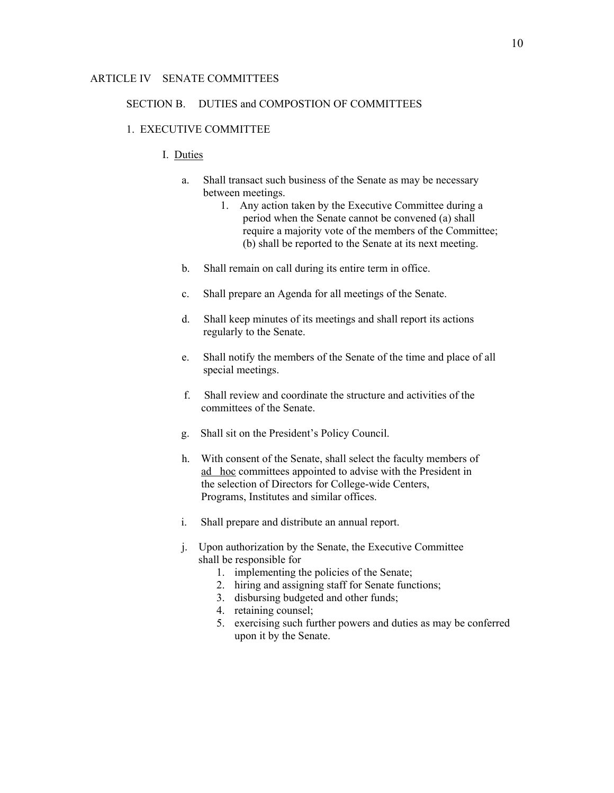#### SECTION B. DUTIES and COMPOSTION OF COMMITTEES

#### 1. EXECUTIVE COMMITTEE

## I. Duties

- a. Shall transact such business of the Senate as may be necessary between meetings.
	- 1. Any action taken by the Executive Committee during a period when the Senate cannot be convened (a) shall require a majority vote of the members of the Committee; (b) shall be reported to the Senate at its next meeting.
- b. Shall remain on call during its entire term in office.
- c. Shall prepare an Agenda for all meetings of the Senate.
- d. Shall keep minutes of its meetings and shall report its actions regularly to the Senate.
- e. Shall notify the members of the Senate of the time and place of all special meetings.
- f. Shall review and coordinate the structure and activities of the committees of the Senate.
- g. Shall sit on the President's Policy Council.
- h. With consent of the Senate, shall select the faculty members of ad hoc committees appointed to advise with the President in the selection of Directors for College-wide Centers, Programs, Institutes and similar offices.
- i. Shall prepare and distribute an annual report.
- j. Upon authorization by the Senate, the Executive Committee shall be responsible for
	- 1. implementing the policies of the Senate;
	- 2. hiring and assigning staff for Senate functions;
	- 3. disbursing budgeted and other funds;
	- 4. retaining counsel;
	- 5. exercising such further powers and duties as may be conferred upon it by the Senate.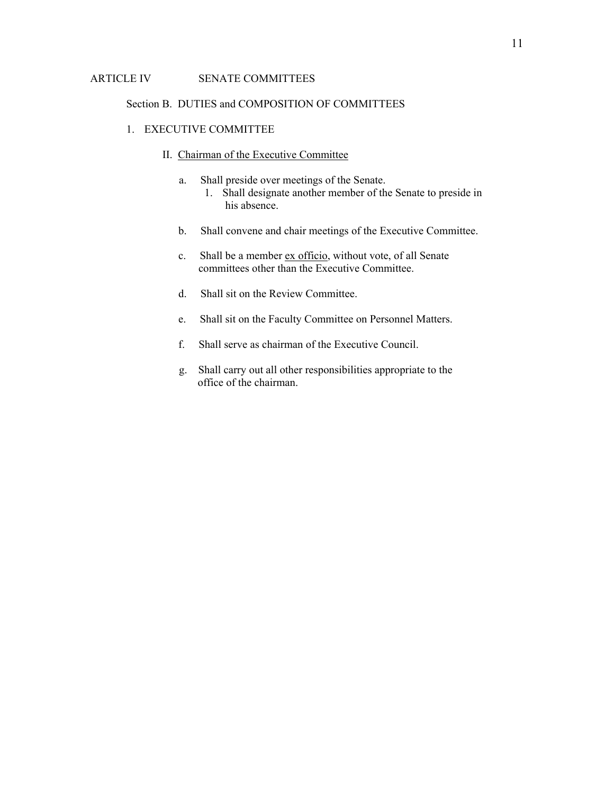### Section B. DUTIES and COMPOSITION OF COMMITTEES

- 1. EXECUTIVE COMMITTEE
	- II. Chairman of the Executive Committee
		- a. Shall preside over meetings of the Senate. 1. Shall designate another member of the Senate to preside in his absence.
		- b. Shall convene and chair meetings of the Executive Committee.
		- c. Shall be a member ex officio, without vote, of all Senate committees other than the Executive Committee.
		- d. Shall sit on the Review Committee.
		- e. Shall sit on the Faculty Committee on Personnel Matters.
		- f. Shall serve as chairman of the Executive Council.
		- g. Shall carry out all other responsibilities appropriate to the office of the chairman.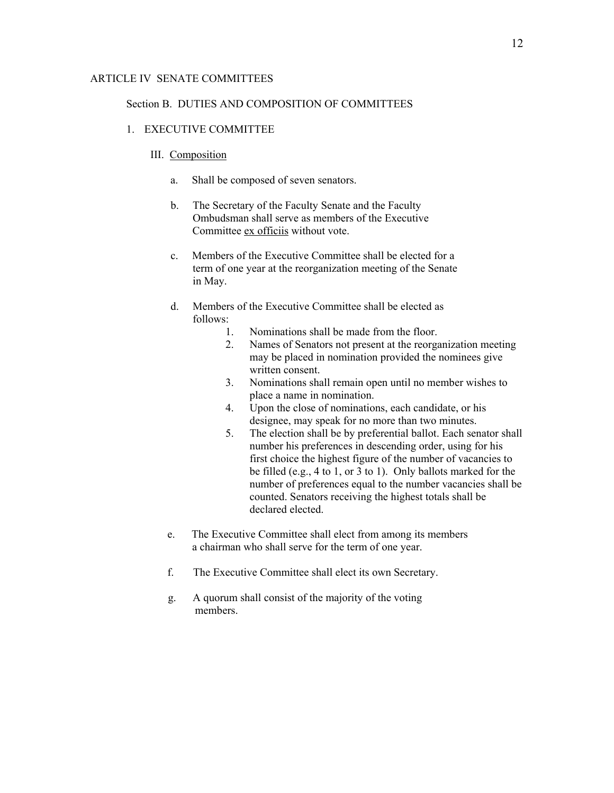#### Section B. DUTIES AND COMPOSITION OF COMMITTEES

# 1. EXECUTIVE COMMITTEE

## III. Composition

- a. Shall be composed of seven senators.
- b. The Secretary of the Faculty Senate and the Faculty Ombudsman shall serve as members of the Executive Committee ex officiis without vote.
- c. Members of the Executive Committee shall be elected for a term of one year at the reorganization meeting of the Senate in May.
- d. Members of the Executive Committee shall be elected as follows:
	- 1. Nominations shall be made from the floor.
	- 2. Names of Senators not present at the reorganization meeting may be placed in nomination provided the nominees give written consent.
	- 3. Nominations shall remain open until no member wishes to place a name in nomination.
	- 4. Upon the close of nominations, each candidate, or his designee, may speak for no more than two minutes.
	- 5. The election shall be by preferential ballot. Each senator shall number his preferences in descending order, using for his first choice the highest figure of the number of vacancies to be filled (e.g., 4 to 1, or 3 to 1). Only ballots marked for the number of preferences equal to the number vacancies shall be counted. Senators receiving the highest totals shall be declared elected.
- e. The Executive Committee shall elect from among its members a chairman who shall serve for the term of one year.
- f. The Executive Committee shall elect its own Secretary.
- g. A quorum shall consist of the majority of the voting members.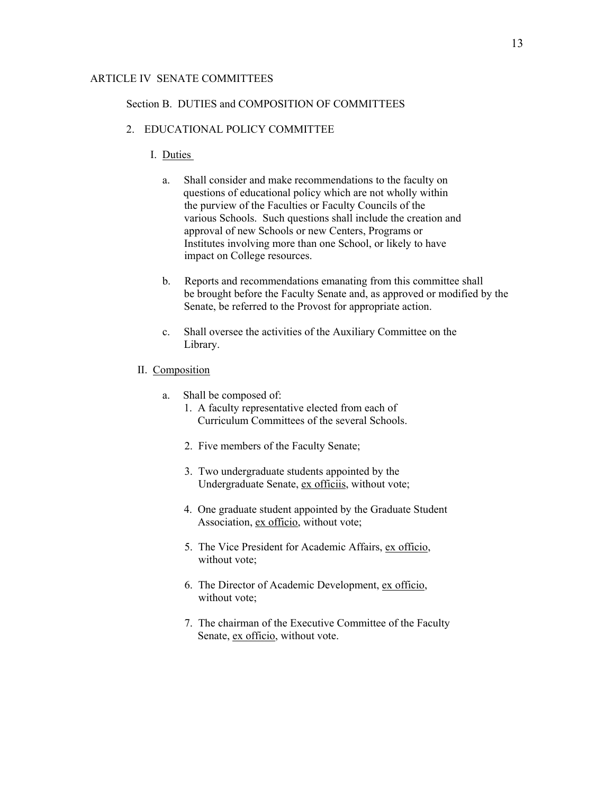#### Section B. DUTIES and COMPOSITION OF COMMITTEES

- 2. EDUCATIONAL POLICY COMMITTEE
	- I. Duties
		- a. Shall consider and make recommendations to the faculty on questions of educational policy which are not wholly within the purview of the Faculties or Faculty Councils of the various Schools. Such questions shall include the creation and approval of new Schools or new Centers, Programs or Institutes involving more than one School, or likely to have impact on College resources.
		- b. Reports and recommendations emanating from this committee shall be brought before the Faculty Senate and, as approved or modified by the Senate, be referred to the Provost for appropriate action.
		- c. Shall oversee the activities of the Auxiliary Committee on the Library.
	- II. Composition
		- a. Shall be composed of:
			- 1. A faculty representative elected from each of Curriculum Committees of the several Schools.
			- 2. Five members of the Faculty Senate;
			- 3. Two undergraduate students appointed by the Undergraduate Senate, ex officiis, without vote;
			- 4. One graduate student appointed by the Graduate Student Association, ex officio, without vote;
			- 5. The Vice President for Academic Affairs, ex officio, without vote;
			- 6. The Director of Academic Development, ex officio, without vote;
			- 7. The chairman of the Executive Committee of the Faculty Senate, ex officio, without vote.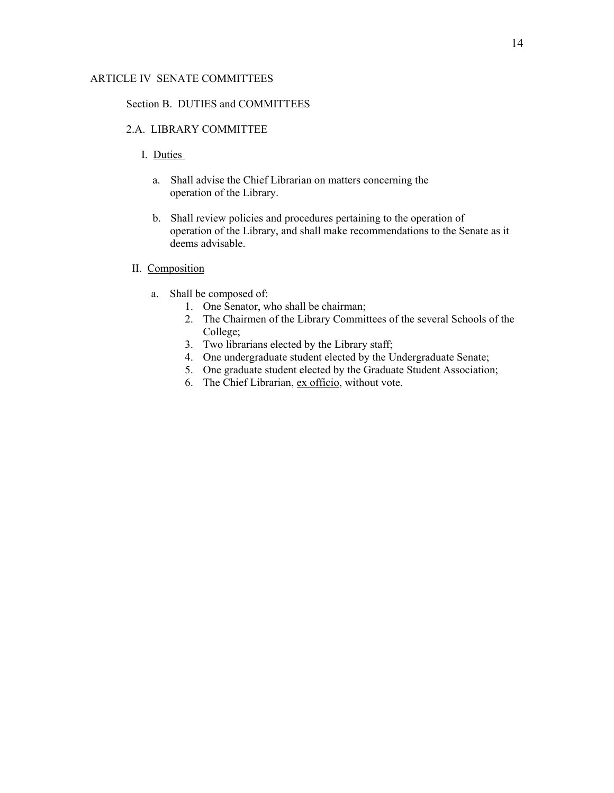### Section B. DUTIES and COMMITTEES

# 2.A. LIBRARY COMMITTEE

- I. Duties
	- a. Shall advise the Chief Librarian on matters concerning the operation of the Library.
	- b. Shall review policies and procedures pertaining to the operation of operation of the Library, and shall make recommendations to the Senate as it deems advisable.

# II. Composition

- a. Shall be composed of:
	- 1. One Senator, who shall be chairman;
	- 2. The Chairmen of the Library Committees of the several Schools of the College;
	- 3. Two librarians elected by the Library staff;
	- 4. One undergraduate student elected by the Undergraduate Senate;
	- 5. One graduate student elected by the Graduate Student Association;
	- 6. The Chief Librarian, ex officio, without vote.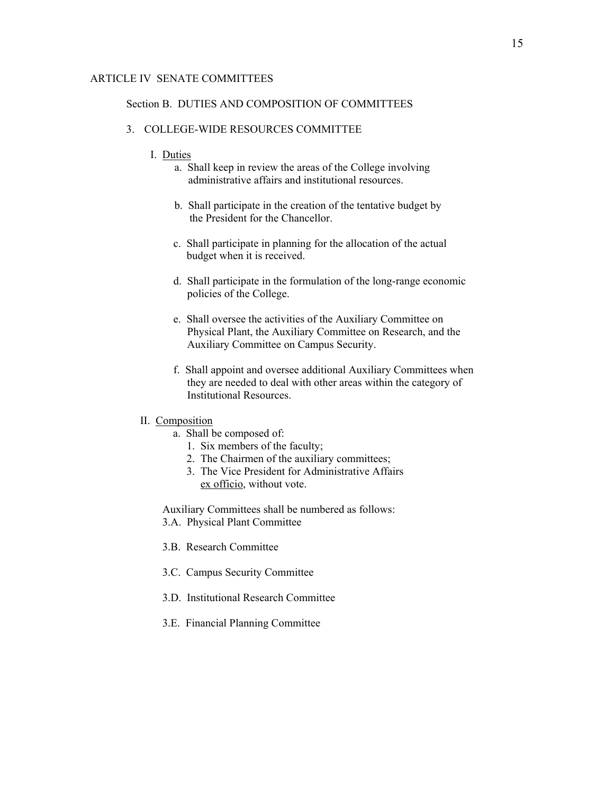#### Section B. DUTIES AND COMPOSITION OF COMMITTEES

#### 3. COLLEGE-WIDE RESOURCES COMMITTEE

- I. Duties
	- a. Shall keep in review the areas of the College involving administrative affairs and institutional resources.
	- b. Shall participate in the creation of the tentative budget by the President for the Chancellor.
	- c. Shall participate in planning for the allocation of the actual budget when it is received.
	- d. Shall participate in the formulation of the long-range economic policies of the College.
	- e. Shall oversee the activities of the Auxiliary Committee on Physical Plant, the Auxiliary Committee on Research, and the Auxiliary Committee on Campus Security.
	- f. Shall appoint and oversee additional Auxiliary Committees when they are needed to deal with other areas within the category of Institutional Resources.

#### II. Composition

- a. Shall be composed of:
	- 1. Six members of the faculty;
	- 2. The Chairmen of the auxiliary committees;
	- 3. The Vice President for Administrative Affairs ex officio, without vote.

 Auxiliary Committees shall be numbered as follows: 3.A. Physical Plant Committee

- 3.B. Research Committee
- 3.C. Campus Security Committee
- 3.D. Institutional Research Committee
- 3.E. Financial Planning Committee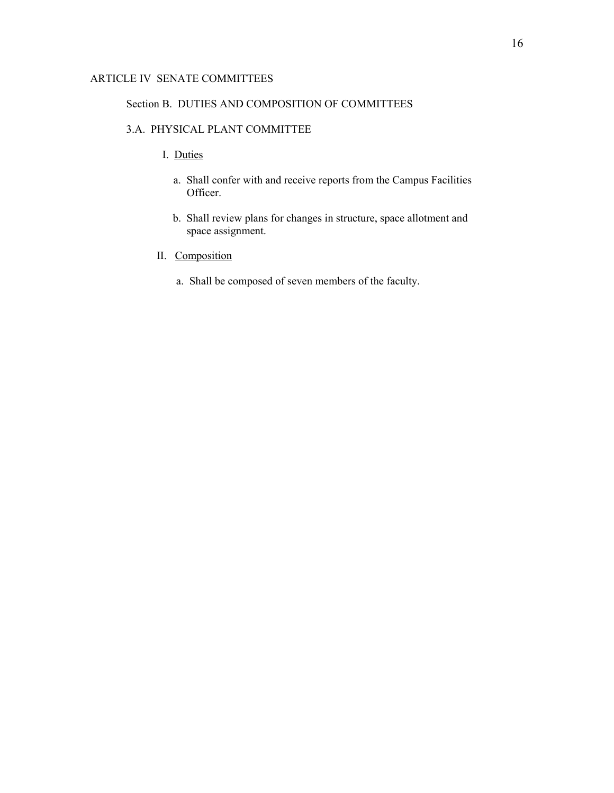#### Section B. DUTIES AND COMPOSITION OF COMMITTEES

# 3.A. PHYSICAL PLANT COMMITTEE

- I. Duties
	- a. Shall confer with and receive reports from the Campus Facilities Officer.
	- b. Shall review plans for changes in structure, space allotment and space assignment.
- II. Composition
	- a. Shall be composed of seven members of the faculty.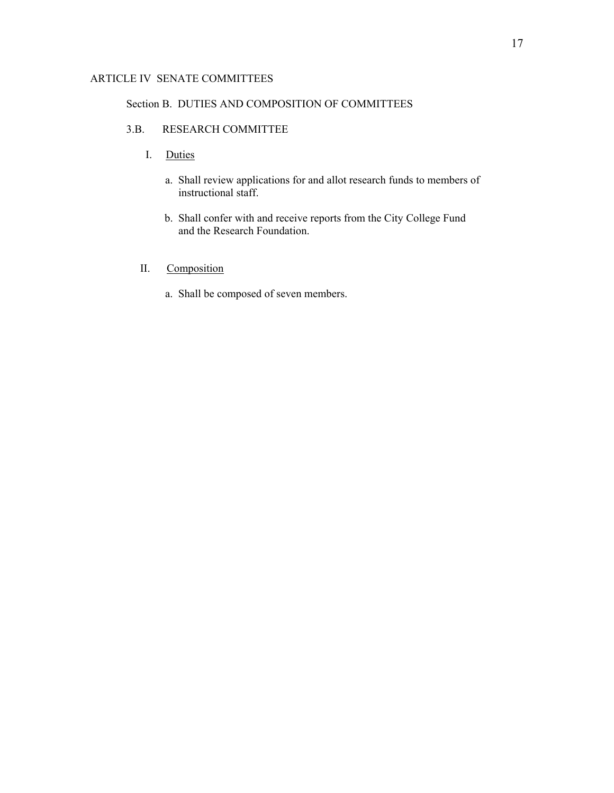### Section B. DUTIES AND COMPOSITION OF COMMITTEES

# 3.B. RESEARCH COMMITTEE

- I. Duties
	- a. Shall review applications for and allot research funds to members of instructional staff.
	- b. Shall confer with and receive reports from the City College Fund and the Research Foundation.
- II. Composition
	- a. Shall be composed of seven members.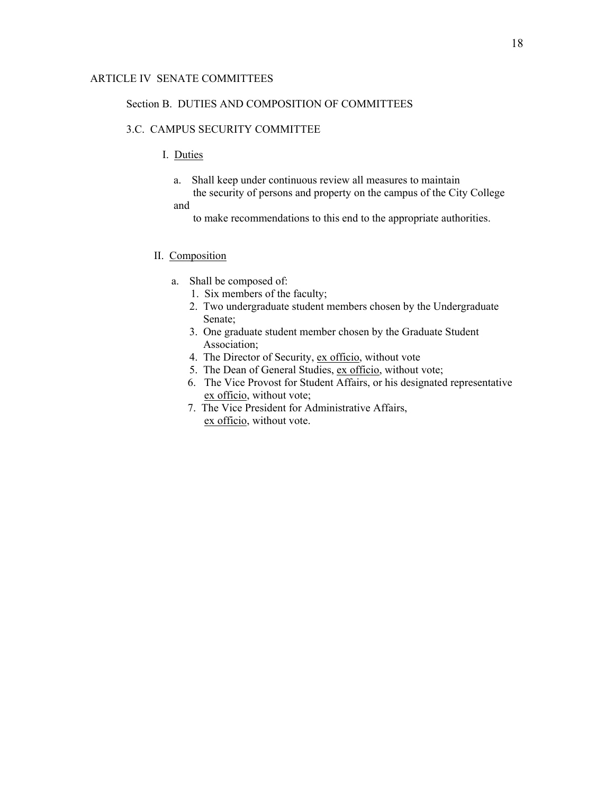#### Section B. DUTIES AND COMPOSITION OF COMMITTEES

# 3.C. CAMPUS SECURITY COMMITTEE

# I. Duties

- a. Shall keep under continuous review all measures to maintain the security of persons and property on the campus of the City College and
	- to make recommendations to this end to the appropriate authorities.

#### II. Composition

- a. Shall be composed of:
	- 1. Six members of the faculty;
	- 2. Two undergraduate student members chosen by the Undergraduate Senate;
	- 3. One graduate student member chosen by the Graduate Student Association;
	- 4. The Director of Security, ex officio, without vote
	- 5. The Dean of General Studies, ex officio, without vote;
	- 6. The Vice Provost for Student Affairs, or his designated representative ex officio, without vote;
	- 7. The Vice President for Administrative Affairs, ex officio, without vote.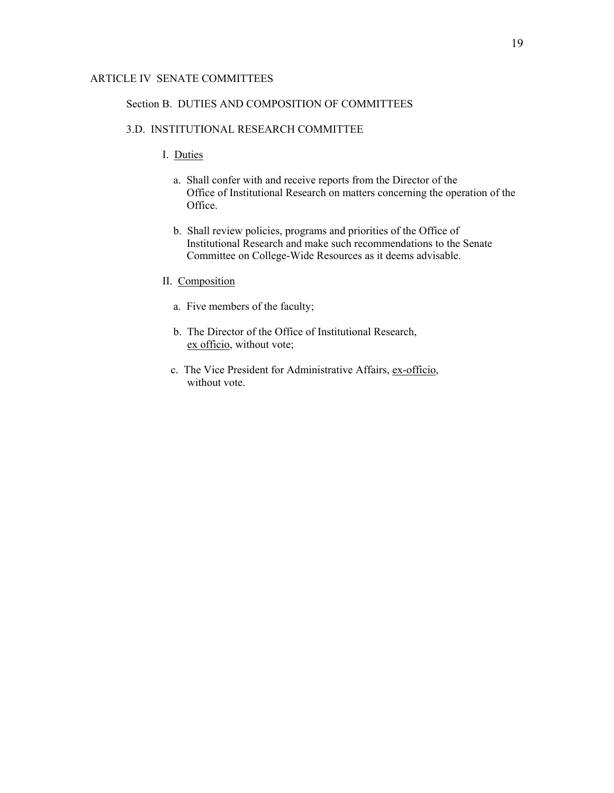#### Section B. DUTIES AND COMPOSITION OF COMMITTEES

## 3.D. INSTITUTIONAL RESEARCH COMMITTEE

- I. Duties
	- a. Shall confer with and receive reports from the Director of the Office of Institutional Research on matters concerning the operation of the Office.
	- b. Shall review policies, programs and priorities of the Office of Institutional Research and make such recommendations to the Senate Committee on College-Wide Resources as it deems advisable.
- II. Composition
	- a. Five members of the faculty;
	- b. The Director of the Office of Institutional Research, ex officio, without vote;
	- c. The Vice President for Administrative Affairs, ex-officio, without vote.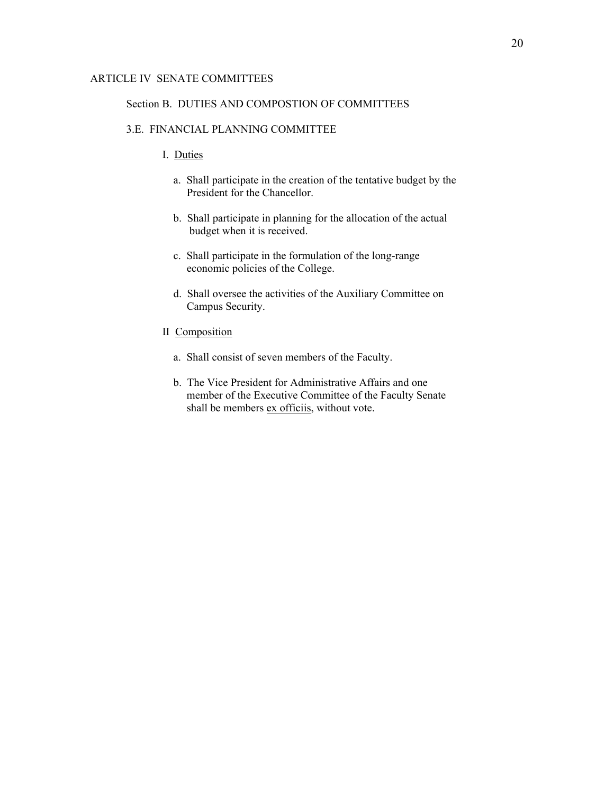#### Section B. DUTIES AND COMPOSTION OF COMMITTEES

## 3.E. FINANCIAL PLANNING COMMITTEE

- I. Duties
	- a. Shall participate in the creation of the tentative budget by the President for the Chancellor.
	- b. Shall participate in planning for the allocation of the actual budget when it is received.
	- c. Shall participate in the formulation of the long-range economic policies of the College.
	- d. Shall oversee the activities of the Auxiliary Committee on Campus Security.
- II Composition
	- a. Shall consist of seven members of the Faculty.
	- b. The Vice President for Administrative Affairs and one member of the Executive Committee of the Faculty Senate shall be members ex officiis, without vote.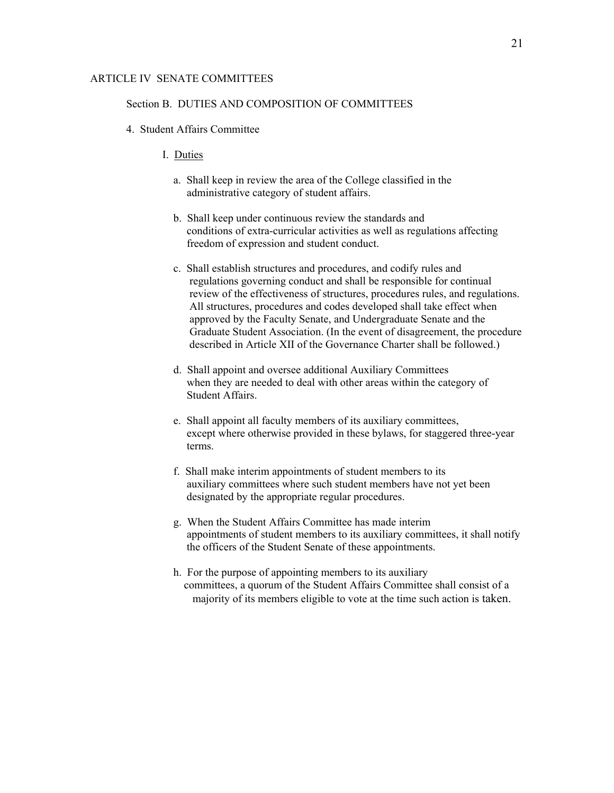#### Section B. DUTIES AND COMPOSITION OF COMMITTEES

- 4. Student Affairs Committee
	- I. Duties
		- a. Shall keep in review the area of the College classified in the administrative category of student affairs.
		- b. Shall keep under continuous review the standards and conditions of extra-curricular activities as well as regulations affecting freedom of expression and student conduct.
		- c. Shall establish structures and procedures, and codify rules and regulations governing conduct and shall be responsible for continual review of the effectiveness of structures, procedures rules, and regulations. All structures, procedures and codes developed shall take effect when approved by the Faculty Senate, and Undergraduate Senate and the Graduate Student Association. (In the event of disagreement, the procedure described in Article XII of the Governance Charter shall be followed.)
		- d. Shall appoint and oversee additional Auxiliary Committees when they are needed to deal with other areas within the category of Student Affairs.
		- e. Shall appoint all faculty members of its auxiliary committees, except where otherwise provided in these bylaws, for staggered three-year terms.
		- f. Shall make interim appointments of student members to its auxiliary committees where such student members have not yet been designated by the appropriate regular procedures.
		- g. When the Student Affairs Committee has made interim appointments of student members to its auxiliary committees, it shall notify the officers of the Student Senate of these appointments.
		- h. For the purpose of appointing members to its auxiliary committees, a quorum of the Student Affairs Committee shall consist of a majority of its members eligible to vote at the time such action is taken.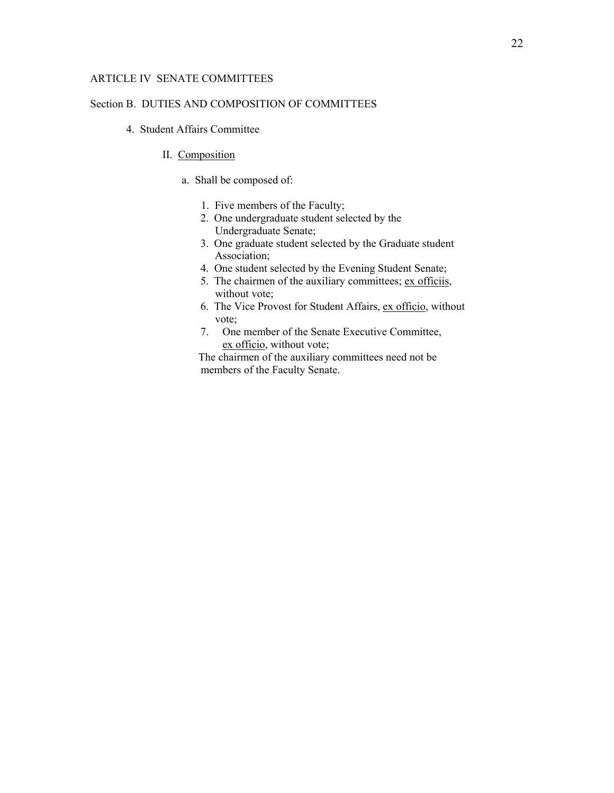### Section B. DUTIES AND COMPOSITION OF COMMITTEES

- 4. Student Affairs Committee
	- II. Composition
		- a. Shall be composed of:
			- 1. Five members of the Faculty;
			- 2. One undergraduate student selected by the Undergraduate Senate;
			- 3. One graduate student selected by the Graduate student Association;
			- 4. One student selected by the Evening Student Senate;
			- 5. The chairmen of the auxiliary committees; ex officiis, without vote;
			- 6. The Vice Provost for Student Affairs, ex officio, without vote;
			- 7. One member of the Senate Executive Committee, ex officio, without vote;

The chairmen of the auxiliary committees need not be members of the Faculty Senate.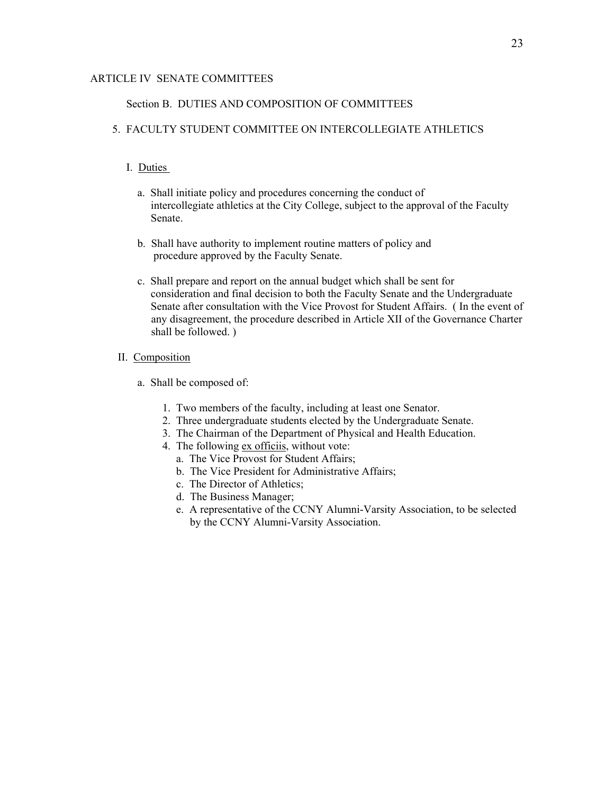### Section B. DUTIES AND COMPOSITION OF COMMITTEES

# 5. FACULTY STUDENT COMMITTEE ON INTERCOLLEGIATE ATHLETICS

### I. Duties

- a. Shall initiate policy and procedures concerning the conduct of intercollegiate athletics at the City College, subject to the approval of the Faculty Senate.
- b. Shall have authority to implement routine matters of policy and procedure approved by the Faculty Senate.
- c. Shall prepare and report on the annual budget which shall be sent for consideration and final decision to both the Faculty Senate and the Undergraduate Senate after consultation with the Vice Provost for Student Affairs. ( In the event of any disagreement, the procedure described in Article XII of the Governance Charter shall be followed. )

# II. Composition

- a. Shall be composed of:
	- 1. Two members of the faculty, including at least one Senator.
	- 2. Three undergraduate students elected by the Undergraduate Senate.
	- 3. The Chairman of the Department of Physical and Health Education.
	- 4. The following ex officiis, without vote:
		- a. The Vice Provost for Student Affairs;
		- b. The Vice President for Administrative Affairs;
		- c. The Director of Athletics;
		- d. The Business Manager;
		- e. A representative of the CCNY Alumni-Varsity Association, to be selected by the CCNY Alumni-Varsity Association.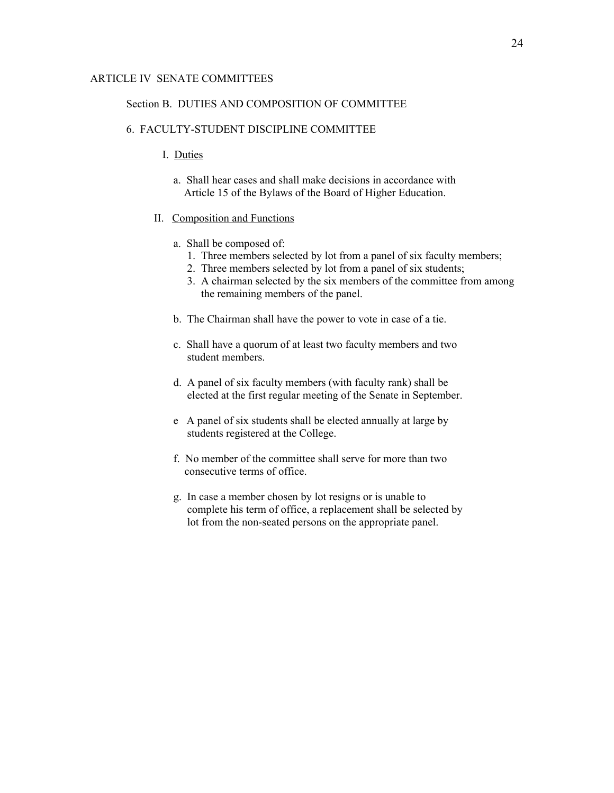#### Section B. DUTIES AND COMPOSITION OF COMMITTEE

#### 6. FACULTY-STUDENT DISCIPLINE COMMITTEE

- I. Duties
	- a. Shall hear cases and shall make decisions in accordance with Article 15 of the Bylaws of the Board of Higher Education.

#### II. Composition and Functions

- a. Shall be composed of:
	- 1. Three members selected by lot from a panel of six faculty members;
	- 2. Three members selected by lot from a panel of six students;
	- 3. A chairman selected by the six members of the committee from among the remaining members of the panel.
- b. The Chairman shall have the power to vote in case of a tie.
- c. Shall have a quorum of at least two faculty members and two student members.
- d. A panel of six faculty members (with faculty rank) shall be elected at the first regular meeting of the Senate in September.
- e A panel of six students shall be elected annually at large by students registered at the College.
- f. No member of the committee shall serve for more than two consecutive terms of office.
- g. In case a member chosen by lot resigns or is unable to complete his term of office, a replacement shall be selected by lot from the non-seated persons on the appropriate panel.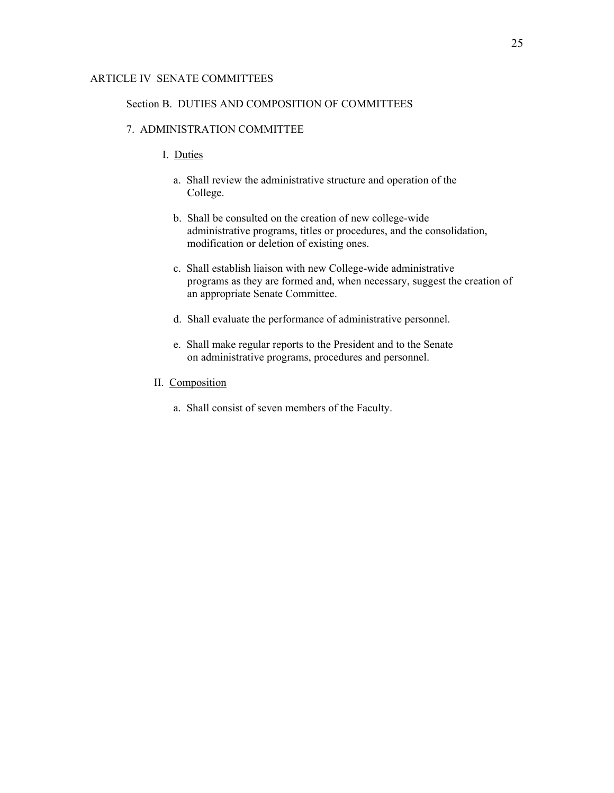#### Section B. DUTIES AND COMPOSITION OF COMMITTEES

## 7. ADMINISTRATION COMMITTEE

- I. Duties
	- a. Shall review the administrative structure and operation of the College.
	- b. Shall be consulted on the creation of new college-wide administrative programs, titles or procedures, and the consolidation, modification or deletion of existing ones.
	- c. Shall establish liaison with new College-wide administrative programs as they are formed and, when necessary, suggest the creation of an appropriate Senate Committee.
	- d. Shall evaluate the performance of administrative personnel.
	- e. Shall make regular reports to the President and to the Senate on administrative programs, procedures and personnel.
- II. Composition
	- a. Shall consist of seven members of the Faculty.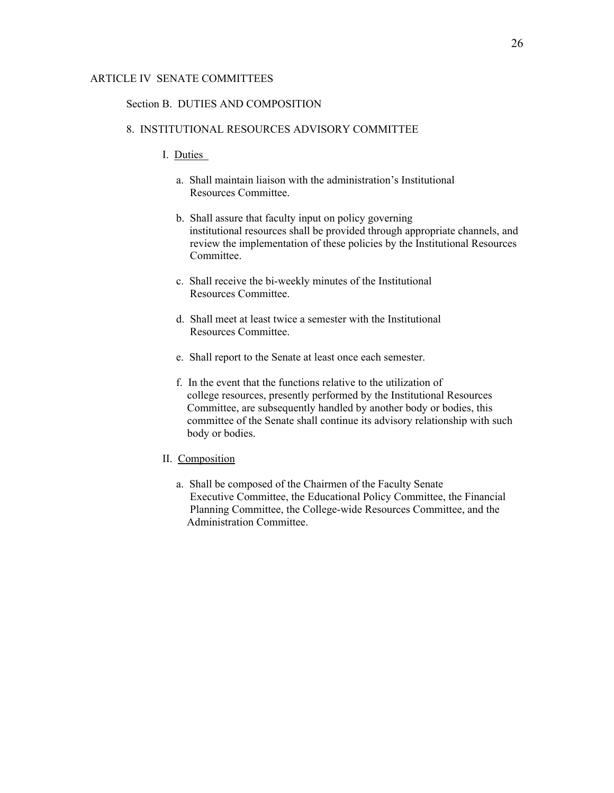#### Section B. DUTIES AND COMPOSITION

# 8. INSTITUTIONAL RESOURCES ADVISORY COMMITTEE

- I. Duties
	- a. Shall maintain liaison with the administration's Institutional Resources Committee.
	- b. Shall assure that faculty input on policy governing institutional resources shall be provided through appropriate channels, and review the implementation of these policies by the Institutional Resources Committee.
	- c. Shall receive the bi-weekly minutes of the Institutional Resources Committee.
	- d. Shall meet at least twice a semester with the Institutional Resources Committee.
	- e. Shall report to the Senate at least once each semester.
	- f. In the event that the functions relative to the utilization of college resources, presently performed by the Institutional Resources Committee, are subsequently handled by another body or bodies, this committee of the Senate shall continue its advisory relationship with such body or bodies.
- II. Composition
	- a. Shall be composed of the Chairmen of the Faculty Senate Executive Committee, the Educational Policy Committee, the Financial Planning Committee, the College-wide Resources Committee, and the Administration Committee.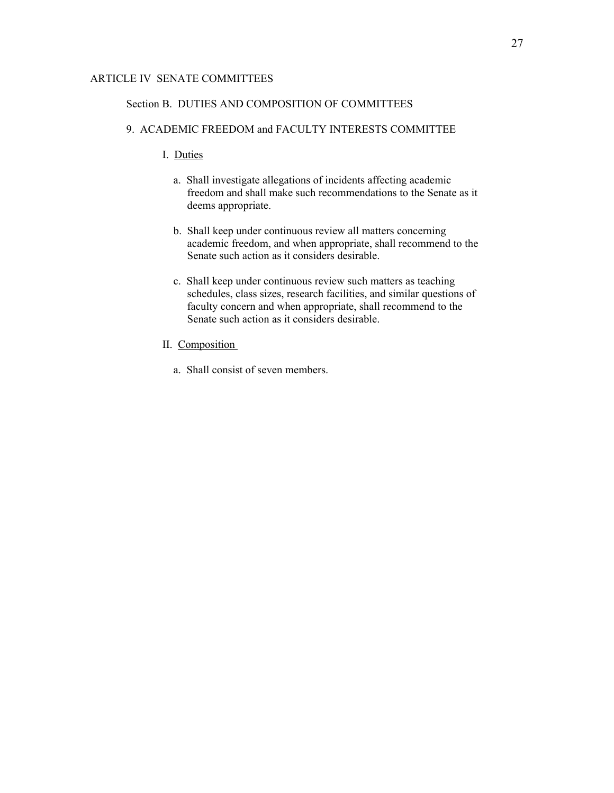# Section B. DUTIES AND COMPOSITION OF COMMITTEES

# 9. ACADEMIC FREEDOM and FACULTY INTERESTS COMMITTEE

- I. Duties
	- a. Shall investigate allegations of incidents affecting academic freedom and shall make such recommendations to the Senate as it deems appropriate.
	- b. Shall keep under continuous review all matters concerning academic freedom, and when appropriate, shall recommend to the Senate such action as it considers desirable.
	- c. Shall keep under continuous review such matters as teaching schedules, class sizes, research facilities, and similar questions of faculty concern and when appropriate, shall recommend to the Senate such action as it considers desirable.
- II. Composition
	- a. Shall consist of seven members.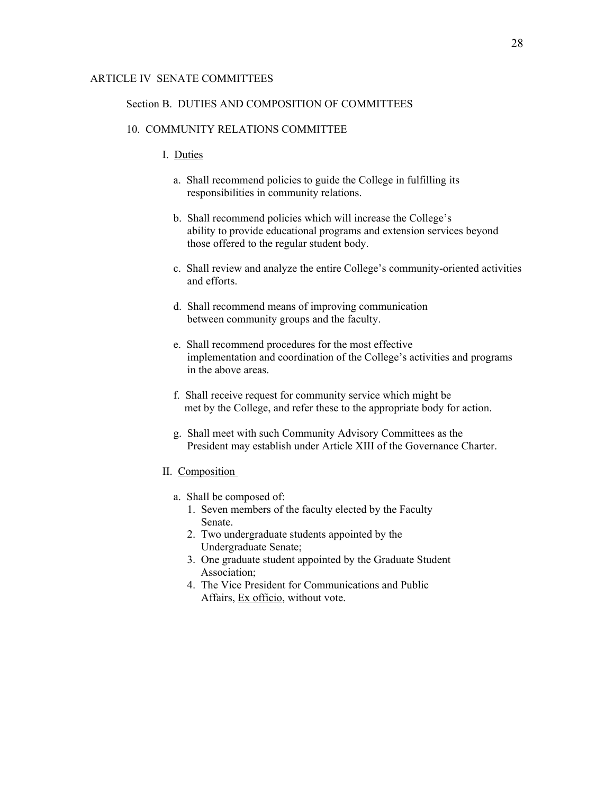#### Section B. DUTIES AND COMPOSITION OF COMMITTEES

#### 10. COMMUNITY RELATIONS COMMITTEE

#### I. Duties

- a. Shall recommend policies to guide the College in fulfilling its responsibilities in community relations.
- b. Shall recommend policies which will increase the College's ability to provide educational programs and extension services beyond those offered to the regular student body.
- c. Shall review and analyze the entire College's community-oriented activities and efforts.
- d. Shall recommend means of improving communication between community groups and the faculty.
- e. Shall recommend procedures for the most effective implementation and coordination of the College's activities and programs in the above areas.
- f. Shall receive request for community service which might be met by the College, and refer these to the appropriate body for action.
- g. Shall meet with such Community Advisory Committees as the President may establish under Article XIII of the Governance Charter.
- II. Composition
	- a. Shall be composed of:
		- 1. Seven members of the faculty elected by the Faculty Senate.
		- 2. Two undergraduate students appointed by the Undergraduate Senate;
		- 3. One graduate student appointed by the Graduate Student Association;
		- 4. The Vice President for Communications and Public Affairs, Ex officio, without vote.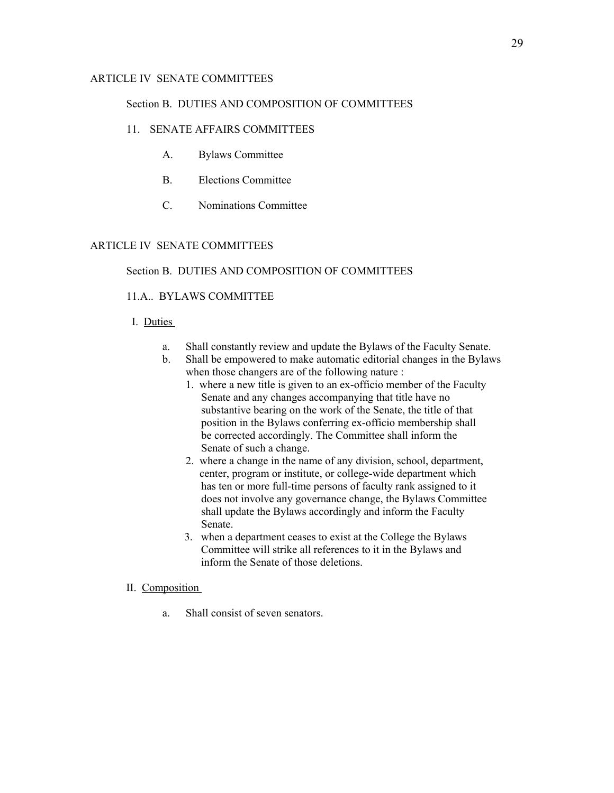#### Section B. DUTIES AND COMPOSITION OF COMMITTEES

# 11. SENATE AFFAIRS COMMITTEES

- A. Bylaws Committee
- B. Elections Committee
- C. Nominations Committee

# ARTICLE IV SENATE COMMITTEES

### Section B. DUTIES AND COMPOSITION OF COMMITTEES

### 11.A.. BYLAWS COMMITTEE

### I. Duties

- a. Shall constantly review and update the Bylaws of the Faculty Senate.
- b. Shall be empowered to make automatic editorial changes in the Bylaws when those changers are of the following nature :
	- 1. where a new title is given to an ex-officio member of the Faculty Senate and any changes accompanying that title have no substantive bearing on the work of the Senate, the title of that position in the Bylaws conferring ex-officio membership shall be corrected accordingly. The Committee shall inform the Senate of such a change.
	- 2. where a change in the name of any division, school, department, center, program or institute, or college-wide department which has ten or more full-time persons of faculty rank assigned to it does not involve any governance change, the Bylaws Committee shall update the Bylaws accordingly and inform the Faculty Senate.
	- 3. when a department ceases to exist at the College the Bylaws Committee will strike all references to it in the Bylaws and inform the Senate of those deletions.

### II. Composition

a. Shall consist of seven senators.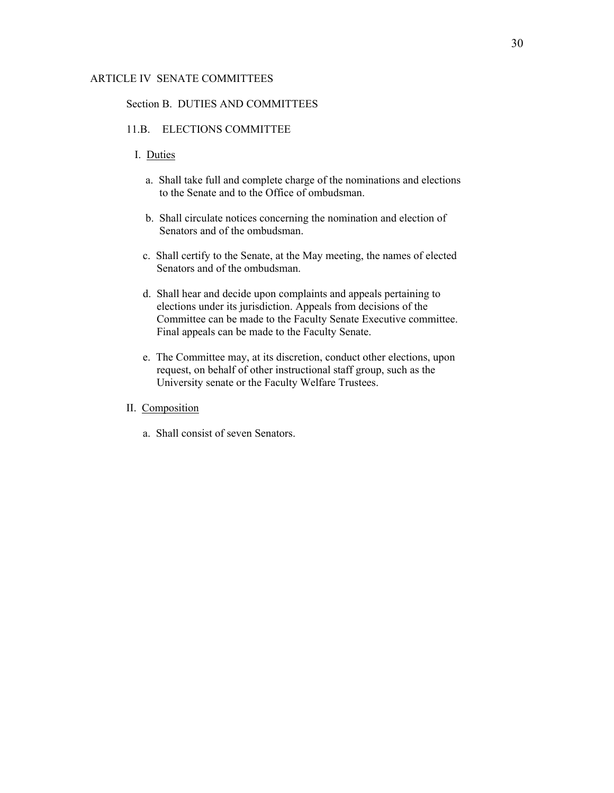#### Section B. DUTIES AND COMMITTEES

# 11.B. ELECTIONS COMMITTEE

# I. Duties

- a. Shall take full and complete charge of the nominations and elections to the Senate and to the Office of ombudsman.
- b. Shall circulate notices concerning the nomination and election of Senators and of the ombudsman.
- c. Shall certify to the Senate, at the May meeting, the names of elected Senators and of the ombudsman.
- d. Shall hear and decide upon complaints and appeals pertaining to elections under its jurisdiction. Appeals from decisions of the Committee can be made to the Faculty Senate Executive committee. Final appeals can be made to the Faculty Senate.
- e. The Committee may, at its discretion, conduct other elections, upon request, on behalf of other instructional staff group, such as the University senate or the Faculty Welfare Trustees.
- II. Composition
	- a. Shall consist of seven Senators.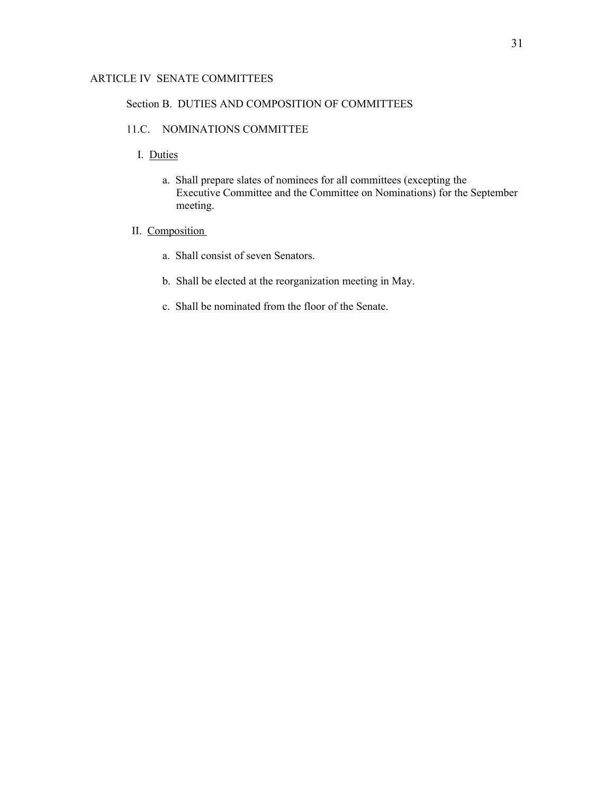### Section B. DUTIES AND COMPOSITION OF COMMITTEES

# 11.C. NOMINATIONS COMMITTEE

- I. Duties
	- a. Shall prepare slates of nominees for all committees (excepting the Executive Committee and the Committee on Nominations) for the September meeting.
- II. Composition
	- a. Shall consist of seven Senators.
	- b. Shall be elected at the reorganization meeting in May.
	- c. Shall be nominated from the floor of the Senate.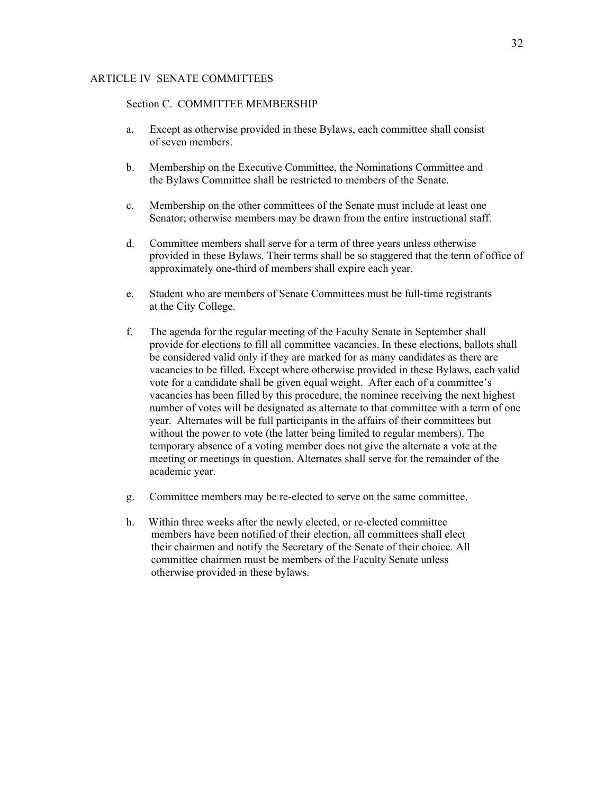## Section C. COMMITTEE MEMBERSHIP

- a. Except as otherwise provided in these Bylaws, each committee shall consist of seven members.
- b. Membership on the Executive Committee, the Nominations Committee and the Bylaws Committee shall be restricted to members of the Senate.
- c. Membership on the other committees of the Senate must include at least one Senator; otherwise members may be drawn from the entire instructional staff.
- d. Committee members shall serve for a term of three years unless otherwise provided in these Bylaws. Their terms shall be so staggered that the term of office of approximately one-third of members shall expire each year.
- e. Student who are members of Senate Committees must be full-time registrants at the City College.
- f. The agenda for the regular meeting of the Faculty Senate in September shall provide for elections to fill all committee vacancies. In these elections, ballots shall be considered valid only if they are marked for as many candidates as there are vacancies to be filled. Except where otherwise provided in these Bylaws, each valid vote for a candidate shall be given equal weight. After each of a committee's vacancies has been filled by this procedure, the nominee receiving the next highest number of votes will be designated as alternate to that committee with a term of one year. Alternates will be full participants in the affairs of their committees but without the power to vote (the latter being limited to regular members). The temporary absence of a voting member does not give the alternate a vote at the meeting or meetings in question. Alternates shall serve for the remainder of the academic year.
- g. Committee members may be re-elected to serve on the same committee.
- h. Within three weeks after the newly elected, or re-elected committee members have been notified of their election, all committees shall elect their chairmen and notify the Secretary of the Senate of their choice. All committee chairmen must be members of the Faculty Senate unless otherwise provided in these bylaws.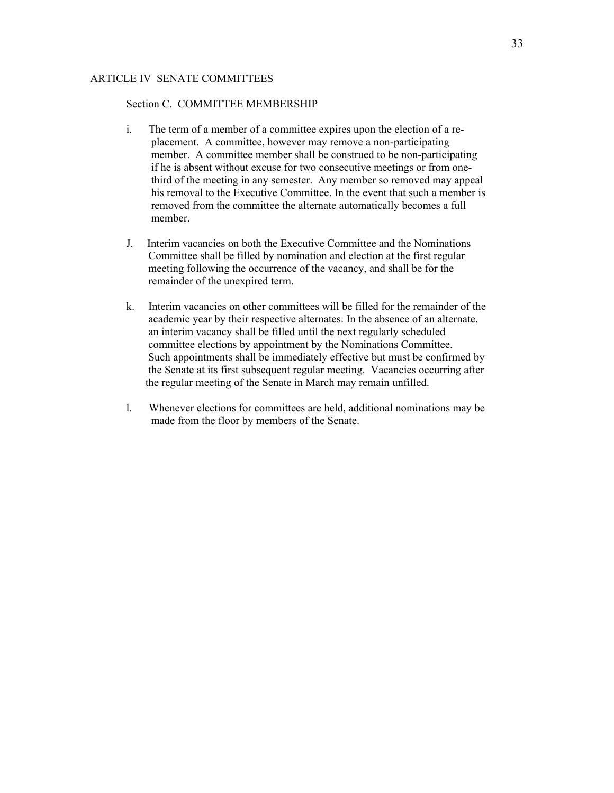#### Section C. COMMITTEE MEMBERSHIP

- i. The term of a member of a committee expires upon the election of a re placement. A committee, however may remove a non-participating member. A committee member shall be construed to be non-participating if he is absent without excuse for two consecutive meetings or from one third of the meeting in any semester. Any member so removed may appeal his removal to the Executive Committee. In the event that such a member is removed from the committee the alternate automatically becomes a full member.
- J. Interim vacancies on both the Executive Committee and the Nominations Committee shall be filled by nomination and election at the first regular meeting following the occurrence of the vacancy, and shall be for the remainder of the unexpired term.
- k. Interim vacancies on other committees will be filled for the remainder of the academic year by their respective alternates. In the absence of an alternate, an interim vacancy shall be filled until the next regularly scheduled committee elections by appointment by the Nominations Committee. Such appointments shall be immediately effective but must be confirmed by the Senate at its first subsequent regular meeting. Vacancies occurring after the regular meeting of the Senate in March may remain unfilled.
- l. Whenever elections for committees are held, additional nominations may be made from the floor by members of the Senate.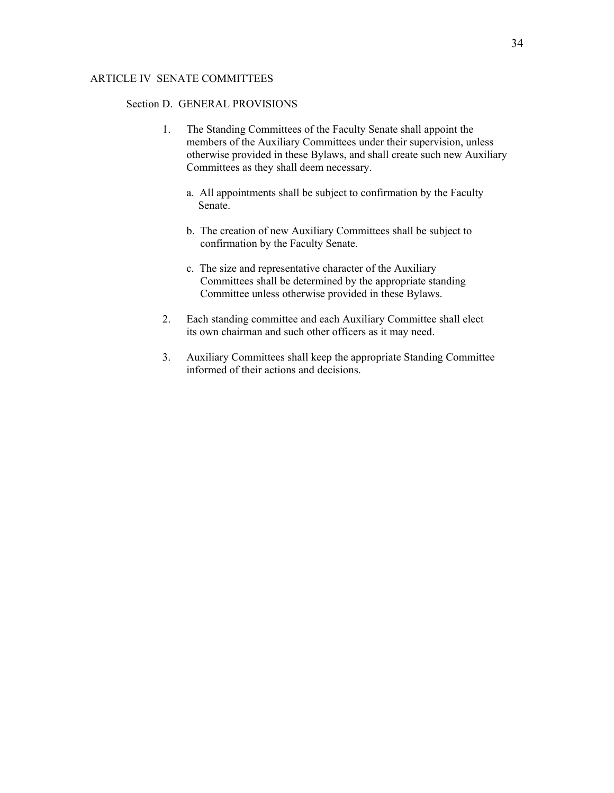#### Section D. GENERAL PROVISIONS

- 1. The Standing Committees of the Faculty Senate shall appoint the members of the Auxiliary Committees under their supervision, unless otherwise provided in these Bylaws, and shall create such new Auxiliary Committees as they shall deem necessary.
	- a. All appointments shall be subject to confirmation by the Faculty Senate.
	- b. The creation of new Auxiliary Committees shall be subject to confirmation by the Faculty Senate.
	- c. The size and representative character of the Auxiliary Committees shall be determined by the appropriate standing Committee unless otherwise provided in these Bylaws.
- 2. Each standing committee and each Auxiliary Committee shall elect its own chairman and such other officers as it may need.
- 3. Auxiliary Committees shall keep the appropriate Standing Committee informed of their actions and decisions.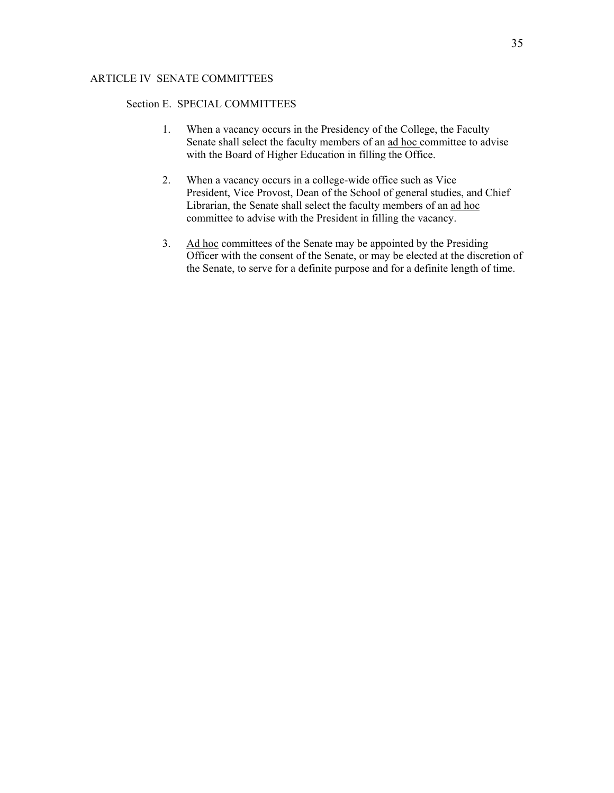## Section E. SPECIAL COMMITTEES

- 1. When a vacancy occurs in the Presidency of the College, the Faculty Senate shall select the faculty members of an ad hoc committee to advise with the Board of Higher Education in filling the Office.
- 2. When a vacancy occurs in a college-wide office such as Vice President, Vice Provost, Dean of the School of general studies, and Chief Librarian, the Senate shall select the faculty members of an ad hoc committee to advise with the President in filling the vacancy.
- 3. Ad hoc committees of the Senate may be appointed by the Presiding Officer with the consent of the Senate, or may be elected at the discretion of the Senate, to serve for a definite purpose and for a definite length of time.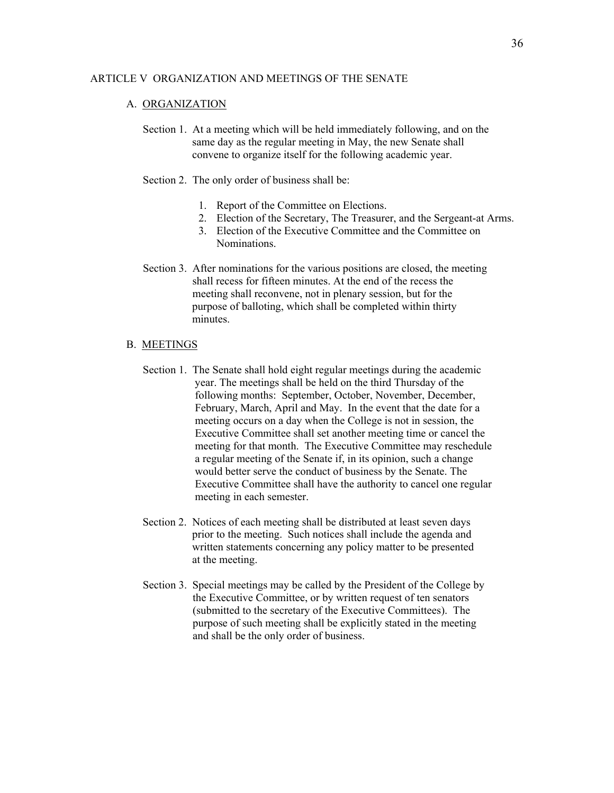#### ARTICLE V ORGANIZATION AND MEETINGS OF THE SENATE

#### A. ORGANIZATION

- Section 1. At a meeting which will be held immediately following, and on the same day as the regular meeting in May, the new Senate shall convene to organize itself for the following academic year.
- Section 2. The only order of business shall be:
	- 1. Report of the Committee on Elections.
	- 2. Election of the Secretary, The Treasurer, and the Sergeant-at Arms.
	- 3. Election of the Executive Committee and the Committee on Nominations.
- Section 3. After nominations for the various positions are closed, the meeting shall recess for fifteen minutes. At the end of the recess the meeting shall reconvene, not in plenary session, but for the purpose of balloting, which shall be completed within thirty minutes.

#### B. MEETINGS

- Section 1. The Senate shall hold eight regular meetings during the academic year. The meetings shall be held on the third Thursday of the following months: September, October, November, December, February, March, April and May. In the event that the date for a meeting occurs on a day when the College is not in session, the Executive Committee shall set another meeting time or cancel the meeting for that month. The Executive Committee may reschedule a regular meeting of the Senate if, in its opinion, such a change would better serve the conduct of business by the Senate. The Executive Committee shall have the authority to cancel one regular meeting in each semester.
- Section 2. Notices of each meeting shall be distributed at least seven days prior to the meeting. Such notices shall include the agenda and written statements concerning any policy matter to be presented at the meeting.
- Section 3. Special meetings may be called by the President of the College by the Executive Committee, or by written request of ten senators (submitted to the secretary of the Executive Committees). The purpose of such meeting shall be explicitly stated in the meeting and shall be the only order of business.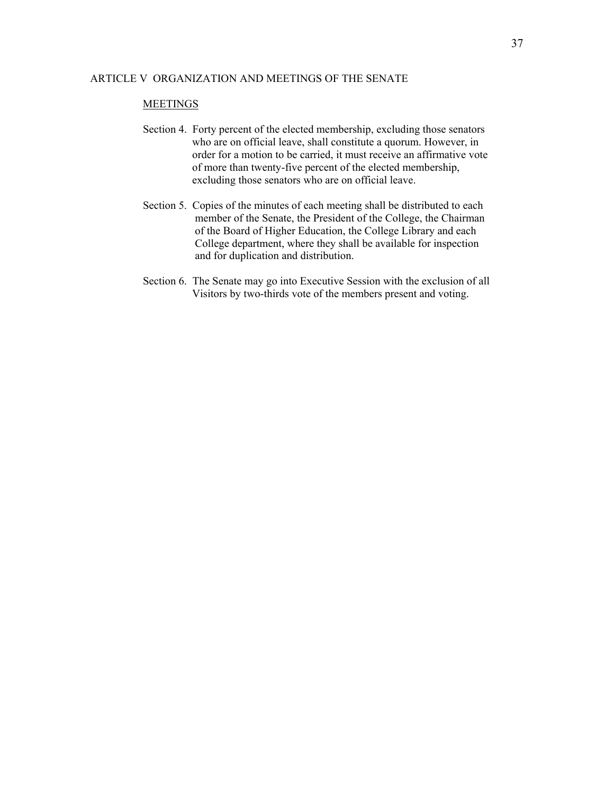#### ARTICLE V ORGANIZATION AND MEETINGS OF THE SENATE

### **MEETINGS**

- Section 4. Forty percent of the elected membership, excluding those senators who are on official leave, shall constitute a quorum. However, in order for a motion to be carried, it must receive an affirmative vote of more than twenty-five percent of the elected membership, excluding those senators who are on official leave.
- Section 5. Copies of the minutes of each meeting shall be distributed to each member of the Senate, the President of the College, the Chairman of the Board of Higher Education, the College Library and each College department, where they shall be available for inspection and for duplication and distribution.
- Section 6. The Senate may go into Executive Session with the exclusion of all Visitors by two-thirds vote of the members present and voting.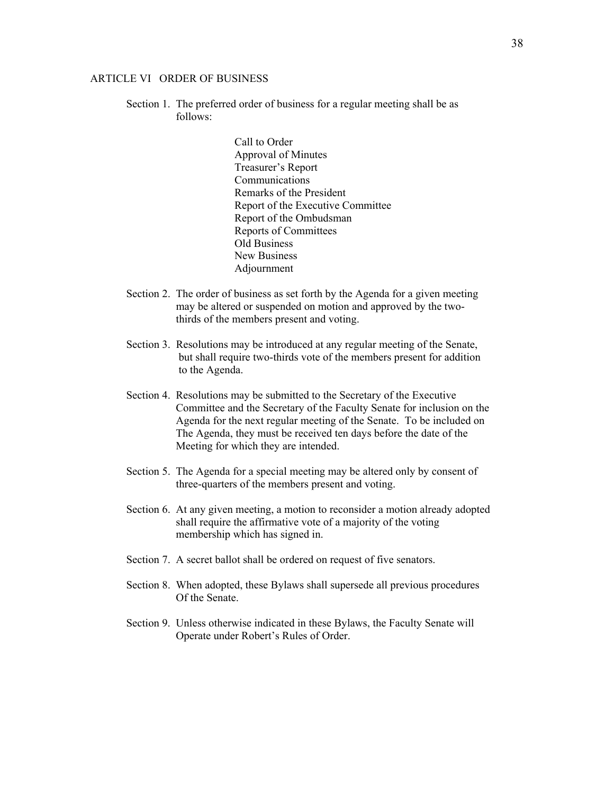#### ARTICLE VI ORDER OF BUSINESS

 Section 1. The preferred order of business for a regular meeting shall be as follows:

> Call to Order Approval of Minutes Treasurer's Report Communications Remarks of the President Report of the Executive Committee Report of the Ombudsman Reports of Committees Old Business New Business Adjournment

- Section 2. The order of business as set forth by the Agenda for a given meeting may be altered or suspended on motion and approved by the two thirds of the members present and voting.
- Section 3. Resolutions may be introduced at any regular meeting of the Senate, but shall require two-thirds vote of the members present for addition to the Agenda.
- Section 4. Resolutions may be submitted to the Secretary of the Executive Committee and the Secretary of the Faculty Senate for inclusion on the Agenda for the next regular meeting of the Senate. To be included on The Agenda, they must be received ten days before the date of the Meeting for which they are intended.
- Section 5. The Agenda for a special meeting may be altered only by consent of three-quarters of the members present and voting.
- Section 6. At any given meeting, a motion to reconsider a motion already adopted shall require the affirmative vote of a majority of the voting membership which has signed in.
- Section 7. A secret ballot shall be ordered on request of five senators.
- Section 8. When adopted, these Bylaws shall supersede all previous procedures Of the Senate.
- Section 9. Unless otherwise indicated in these Bylaws, the Faculty Senate will Operate under Robert's Rules of Order.